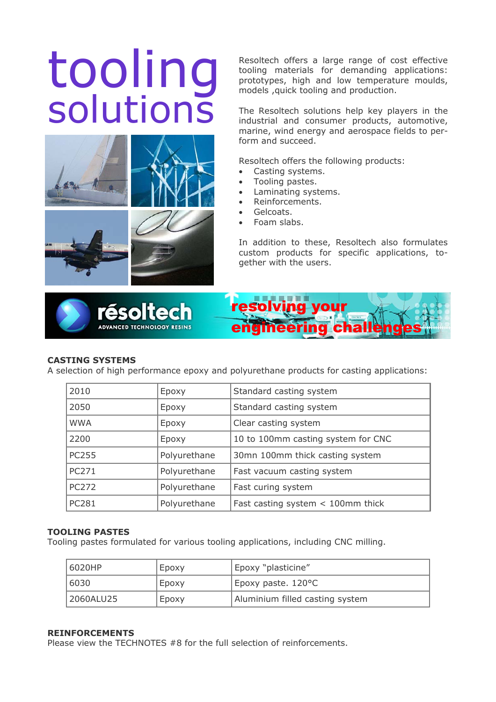# solutions



Resoltech offers a large range of cost effective<br>tooling materials for demanding applications:<br>prototypes, high and low temperature moulds,<br>models , quick tooling and production. tooling materials for demanding applications: prototypes, high and low temperature moulds, models ,quick tooling and production.

> The Resoltech solutions help key players in the industrial and consumer products, automotive, marine, wind energy and aerospace fields to perform and succeed.

Resoltech offers the following products:

- Casting systems.
- Tooling pastes.
- Laminating systems.
- Reinforcements.
- Gelcoats.
- Foam slabs.

In addition to these, Resoltech also formulates custom products for specific applications, together with the users.





# **CASTING SYSTEMS**

A selection of high performance epoxy and polyurethane products for casting applications:

| 2010         | Epoxy        | Standard casting system             |
|--------------|--------------|-------------------------------------|
| 2050         | Epoxy        | Standard casting system             |
| <b>WWA</b>   | Epoxy        | Clear casting system                |
| 2200         | Epoxy        | 10 to 100mm casting system for CNC  |
| <b>PC255</b> | Polyurethane | 30mn 100mm thick casting system     |
| PC271        | Polyurethane | Fast vacuum casting system          |
| <b>PC272</b> | Polyurethane | Fast curing system                  |
| <b>PC281</b> | Polyurethane | Fast casting system $<$ 100mm thick |

## **TOOLING PASTES**

Tooling pastes formulated for various tooling applications, including CNC milling.

| 16020HP   | Epoxy | Epoxy "plasticine"              |
|-----------|-------|---------------------------------|
| 16030     | Epoxy | Epoxy paste. 120°C              |
| 2060ALU25 | Epoxy | Aluminium filled casting system |

### **REINFORCEMENTS**

Please view the TECHNOTES #8 for the full selection of reinforcements.